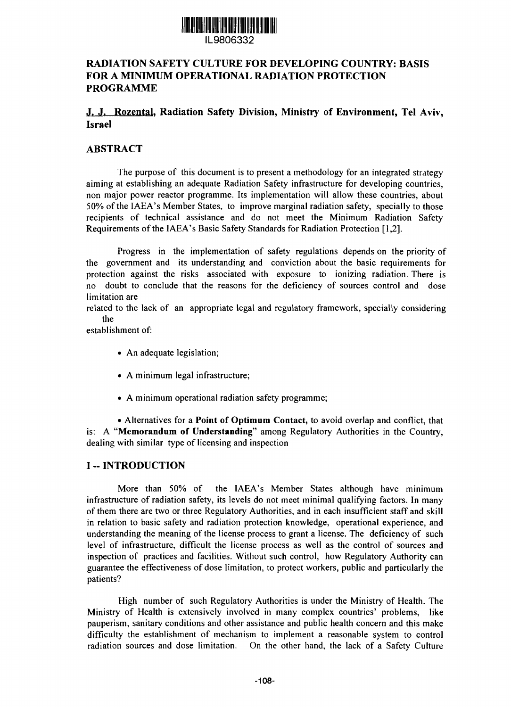

### IL9806332

### RADIATION SAFETY CULTURE FOR DEVELOPING COUNTRY: BASIS FOR A MINIMUM OPERATIONAL RADIATION PROTECTION PROGRAMME

### .1. J. Rozental. Radiation Safety Division, Ministry of Environment, Tel Aviv, Israel

### ABSTRACT

The purpose of this document is to present a methodology for an integrated strategy aiming at establishing an adequate Radiation Safety infrastructure for developing countries, non major power reactor programme. Its implementation will allow these countries, about 50% of the IAEA's Member States, to improve marginal radiation safety, specially to those recipients of technical assistance and do not meet the Minimum Radiation Safety Requirements of the IAEA's Basic Safety Standards for Radiation Protection [1,2].

Progress in the implementation of safety regulations depends on the priority of the government and its understanding and conviction about the basic requirements for protection against the risks associated with exposure to ionizing radiation. There is no doubt to conclude that the reasons for the deficiency of sources control and dose limitation are

related to the lack of an appropriate legal and regulatory framework, specially considering the

establishment of:

- An adequate legislation;
- A minimum legal infrastructure;
- A minimum operational radiation safety programme;

• Alternatives for a **Point of Optimum Contact,** to avoid overlap and conflict, that is: A **"Memorandum of Understanding"** among Regulatory Authorities in the Country, dealing with similar type of licensing and inspection

### **I** -- **INTRODUCTION**

More than 50% of the IAEA's Member States although have minimum infrastructure of radiation safety, its levels do not meet minimal qualifying factors. In many of them there are two or three Regulatory Authorities, and in each insufficient staff and skill in relation to basic safety and radiation protection knowledge, operational experience, and understanding the meaning of the license process to grant a license. The deficiency of such level of infrastructure, difficult the license process as well as the control of sources and inspection of practices and facilities. Without such control, how Regulatory Authority can guarantee the effectiveness of dose limitation, to protect workers, public and particularly the patients?

High number of such Regulatory Authorities is under the Ministry of Health. The Ministry of Health is extensively involved in many complex countries' problems, like pauperism, sanitary conditions and other assistance and public health concern and this make difficulty the establishment of mechanism to implement a reasonable system to control radiation sources and dose limitation. On the other hand, the lack of a Safety Culture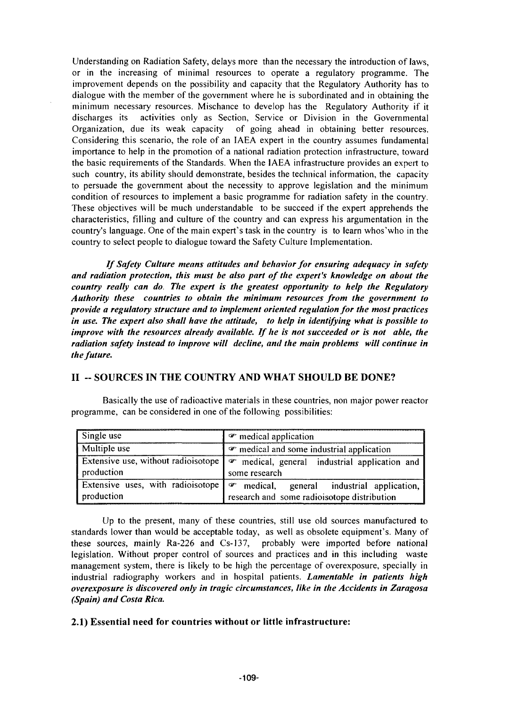Understanding on Radiation Safety, delays more than the necessary the introduction of laws, or in the increasing of minimal resources to operate a regulatory programme. The improvement depends on the possibility and capacity that the Regulatory Authority has to dialogue with the member of the government where he is subordinated and in obtaining the minimum necessary resources. Mischance to develop has the Regulatory Authority if it discharges its activities only as Section, Service or Division in the Governmental Organization, due its weak capacity of going ahead in obtaining better resources. Considering this scenario, the role of an IAEA expert in the country assumes fundamental importance to help in the promotion of a national radiation protection infrastructure, toward the basic requirements of the Standards. When the IAEA infrastructure provides an expert to such country, its ability should demonstrate, besides the technical information, the capacity to persuade the government about the necessity to approve legislation and the minimum condition of resources to implement a basic programme for radiation safety in the country. These objectives will be much understandable to be succeed if the expert apprehends the characteristics, filling and culture of the country and can express his argumentation in the country's language. One of the main expert's task in the country is to learn whos'who in the country to select people to dialogue toward the Safety Culture Implementation.

*If Safety Culture means attitudes and behavior for ensuring adequacy in safety and radiation protection, this must be also part of the expert's knowledge on about the country really can do. The expert is the greatest opportunity to help the Regulatory Authority these countries to obtain the minimum resources from the government to provide a regulatory structure and to implement oriented regulation for the most practices in use. The expert also shall have the attitude, to help in identifying what is possible to improve with the resources already available. If he is not succeeded or is not able, the radiation safety instead to improve will decline, and the main problems will continue in the future.*

### **II - SOURCES IN THE COUNTRY AND WHAT SHOULD BE DONE?**

Basically the use of radioactive materials in these countries, non major power reactor programme, can be considered in one of the following possibilities:

| Single use          | $\mathcal F$ medical application                                                                                                     |  |
|---------------------|--------------------------------------------------------------------------------------------------------------------------------------|--|
| <b>Multiple use</b> | • medical and some industrial application                                                                                            |  |
| production          | Extensive use, without radioisotope $\mathcal{F}$ medical, general industrial application and<br>some research                       |  |
| production          | Extensive uses, with radioisotope   $\sigma$ medical, general industrial application,<br>research and some radioisotope distribution |  |

Up to the present, many of these countries, still use old sources manufactured to standards lower than would be acceptable today, as well as obsolete equipment's. Many of these sources, mainly Ra-226 and Cs-137, probably were imported before national legislation. Without proper control of sources and practices and in this including waste management system, there is likely to be high the percentage of overexposure, specially in industrial radiography workers and in hospital patients. *Lamentable in patients high overexposure is discovered only in tragic circumstances, like in the Accidents in Zaragosa (Spain) and Costa Rica.*

#### **2.1) Essential need for countries without or little infrastructure:**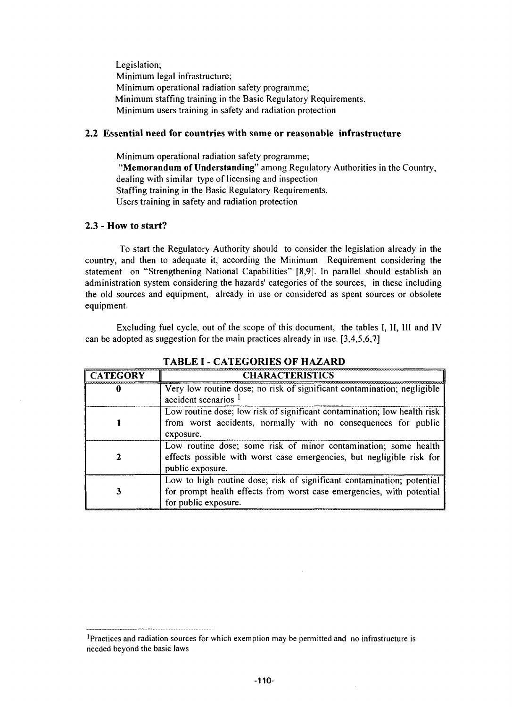Legislation; Minimum legal infrastructure; Minimum operational radiation safety programme; Minimum staffing training in the Basic Regulatory Requirements. Minimum users training in safety and radiation protection

#### **2.2 Essential need for countries with some or reasonable infrastructure**

Minimum operational radiation safety programme; **"Memorandum of Understanding"** among Regulatory Authorities in the Country, dealing with similar type of licensing and inspection Staffing training in the Basic Regulatory Requirements. Users training in safety and radiation protection

#### **2.3** - **How to start?**

To start the Regulatory Authority should to consider the legislation already in the country, and then to adequate it, according the Minimum Requirement considering the statement on "Strengthening National Capabilities" [8,9]. In parallel should establish an administration system considering the hazards' categories of the sources, in these including the old sources and equipment, already in use or considered as spent sources or obsolete equipment.

Excluding fuel cycle, out of the scope of this document, the tables I, II, III and IV can be adopted as suggestion for the main practices already in use. [3,4,5,6,7]

| <b>CATEGORY</b> | <b>CHARACTERISTICS</b>                                                                                                                                                  |
|-----------------|-------------------------------------------------------------------------------------------------------------------------------------------------------------------------|
|                 | Very low routine dose; no risk of significant contamination; negligible<br>accident scenarios                                                                           |
|                 | Low routine dose; low risk of significant contamination; low health risk<br>from worst accidents, normally with no consequences for public<br>exposure.                 |
|                 | Low routine dose; some risk of minor contamination; some health<br>effects possible with worst case emergencies, but negligible risk for<br>public exposure.            |
|                 | Low to high routine dose; risk of significant contamination; potential<br>for prompt health effects from worst case emergencies, with potential<br>for public exposure. |

### TABLE I - CATEGORIES OF HAZARD

<sup>&#</sup>x27;Practices and radiation sources for which exemption may be permitted and no infrastructure is needed beyond the basic laws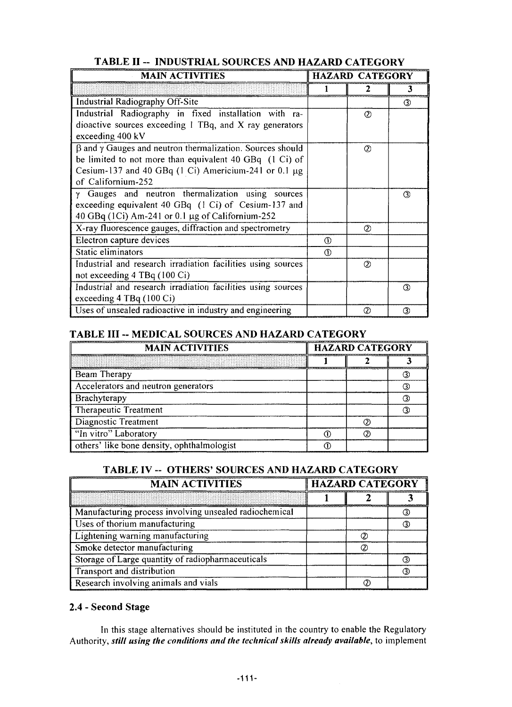| <b>MAIN ACTIVITIES</b>                                                 |              | <b>HAZARD CATEGORY</b> |     |  |
|------------------------------------------------------------------------|--------------|------------------------|-----|--|
|                                                                        |              |                        | 3   |  |
| <b>Industrial Radiography Off-Site</b>                                 |              |                        | 3   |  |
| Industrial Radiography in fixed installation with ra-                  |              | ℗                      |     |  |
| dioactive sources exceeding 1 TBq, and X ray generators                |              |                        |     |  |
| exceeding 400 kV                                                       |              |                        |     |  |
| $\beta$ and $\gamma$ Gauges and neutron thermalization. Sources should |              | $^{\circledR}$         |     |  |
| be limited to not more than equivalent 40 GBq (1 Ci) of                |              |                        |     |  |
| Cesium-137 and 40 GBq $(1 \text{ Ci})$ Americium-241 or 0.1 $\mu$ g    |              |                        |     |  |
| of Californium-252                                                     |              |                        |     |  |
| Gauges and neutron thermalization using sources                        |              |                        | 3   |  |
| exceeding equivalent 40 GBq (1 Ci) of Cesium-137 and                   |              |                        |     |  |
| 40 GBq (1Ci) Am-241 or 0.1 $\mu$ g of Californium-252                  |              |                        |     |  |
| X-ray fluorescence gauges, diffraction and spectrometry                |              | Ø                      |     |  |
| Electron capture devices                                               | $\Omega$     |                        |     |  |
| Static eliminators                                                     | $^\circledR$ |                        |     |  |
| Industrial and research irradiation facilities using sources           |              | $\circled{2}$          |     |  |
| not exceeding 4 TBq (100 Ci)                                           |              |                        |     |  |
| Industrial and research irradiation facilities using sources           |              |                        | 3   |  |
| exceeding 4 TBq (100 Ci)                                               |              |                        |     |  |
| Uses of unsealed radioactive in industry and engineering               |              | $\circled{2}$          | (3) |  |

# TABLE II - INDUSTRIAL SOURCES AND HAZARD CATEGORY

### TABLE HI -- MEDICAL SOURCES AND HAZARD CATEGORY

| <b>MAIN ACTIVITIES</b>                     |  | <b>HAZARD CATEGORY</b> |  |  |
|--------------------------------------------|--|------------------------|--|--|
|                                            |  |                        |  |  |
| Beam Therapy                               |  |                        |  |  |
| Accelerators and neutron generators        |  |                        |  |  |
| Brachyterapy                               |  |                        |  |  |
| Therapeutic Treatment                      |  |                        |  |  |
| Diagnostic Treatment                       |  |                        |  |  |
| "In vitro" Laboratory                      |  |                        |  |  |
| others' like bone density, ophthalmologist |  |                        |  |  |

### TABLE IV -- OTHERS' SOURCES AND HAZARD CATEGORY

| <b>MAIN ACTIVITIES</b>                                 | <b>HAZARD CATEGORY</b> |  |  |
|--------------------------------------------------------|------------------------|--|--|
|                                                        |                        |  |  |
| Manufacturing process involving unsealed radiochemical |                        |  |  |
| Uses of thorium manufacturing                          |                        |  |  |
| Lightening warning manufacturing                       |                        |  |  |
| Smoke detector manufacturing                           |                        |  |  |
| Storage of Large quantity of radiopharmaceuticals      |                        |  |  |
| Transport and distribution                             |                        |  |  |
| Research involving animals and vials                   |                        |  |  |

### 2.4 - Second Stage

In this stage alternatives should be instituted in the country to enable the Regulatory Authority, *still using the conditions and the technical skills already available,* to implement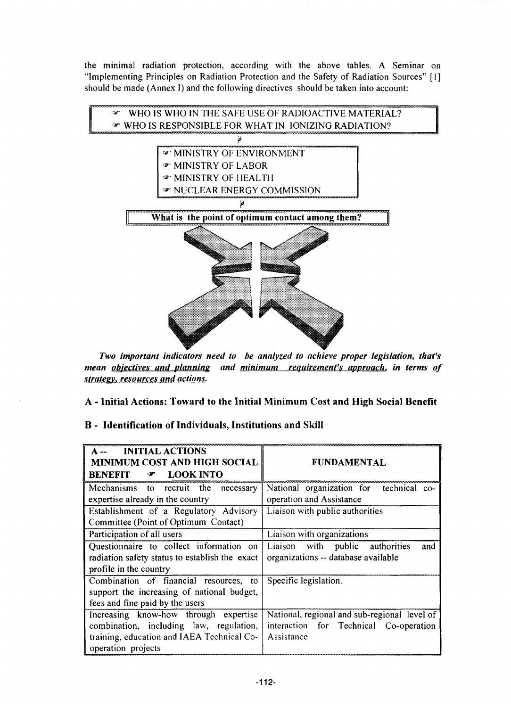the minimal radiation protection, according with the above tables. A Seminar on "Implementing Principles on Radiation Protection and the Safety of Radiation Sources" [1] should be made (Annex I) and the following directives should be taken into account:



*Two important indicators need to be analyzed to achieve proper legislation, that's mean objectives and planning and minimum requirement's approach, in terms of strategy*y *resources and actions.*

*A -* **Initial Actions: Toward to the Initial Minimum Cost and High Social Benefit**

### **B - Identification of Individuals, Institutions and Skill**

| <b>INITIAL ACTIONS</b><br>$A -$<br>MINIMUM COST AND HIGH SOCIAL<br><b>LOOK INTO</b><br><b>BENEFIT</b><br>☞                                           | <b>FUNDAMENTAL</b>                                                                                   |
|------------------------------------------------------------------------------------------------------------------------------------------------------|------------------------------------------------------------------------------------------------------|
| Mechanisms to recruit the necessary<br>expertise already in the country                                                                              | National organization for technical co-<br>operation and Assistance                                  |
| Establishment of a Regulatory Advisory<br>Committee (Point of Optimum Contact)                                                                       | Liaison with public authorities                                                                      |
| Participation of all users                                                                                                                           | Liaison with organizations                                                                           |
| Questionnaire to collect information on<br>radiation safety status to establish the exact<br>profile in the country                                  | Liaison with public authorities<br>and<br>organizations -- database available                        |
| Combination of financial resources, to<br>support the increasing of national budget,<br>fees and fine paid by the users                              | Specific legislation.                                                                                |
| Increasing know-how through expertise<br>combination, including law, regulation,<br>training, education and IAEA Technical Co-<br>operation projects | National, regional and sub-regional level of<br>interaction for Technical Co-operation<br>Assistance |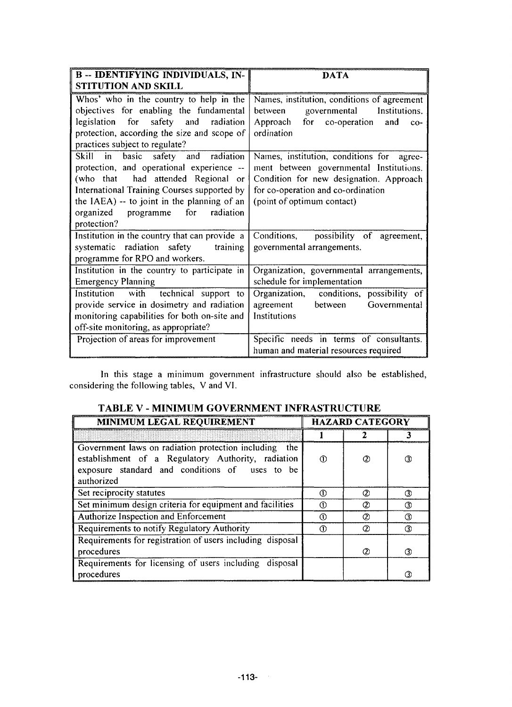| <b>B-DENTIFYING INDIVIDUALS, IN-</b>          | DATA                                        |  |  |
|-----------------------------------------------|---------------------------------------------|--|--|
| STITUTION AND SKILL                           |                                             |  |  |
| Whos' who in the country to help in the       | Names, institution, conditions of agreement |  |  |
| objectives for enabling the fundamental       | governmental<br>between<br>Institutions.    |  |  |
| for safety and radiation<br>legislation       | Approach for co-operation<br>and<br>$co-$   |  |  |
| protection, according the size and scope of   | ordination                                  |  |  |
| practices subject to regulate?                |                                             |  |  |
| Skill in basic safety and radiation           | Names, institution, conditions for agree-   |  |  |
| protection, and operational experience --     | ment between governmental Institutions.     |  |  |
| (who that had attended Regional or            | Condition for new designation. Approach     |  |  |
| International Training Courses supported by   | for co-operation and co-ordination          |  |  |
| the IAEA) -- to joint in the planning of an   | (point of optimum contact)                  |  |  |
| organized programme for<br>radiation          |                                             |  |  |
| protection?                                   |                                             |  |  |
| Institution in the country that can provide a | Conditions, possibility of agreement,       |  |  |
| systematic radiation safety<br>training       | governmental arrangements.                  |  |  |
| programme for RPO and workers.                |                                             |  |  |
| Institution in the country to participate in  | Organization, governmental arrangements,    |  |  |
| <b>Emergency Planning</b>                     | schedule for implementation                 |  |  |
| Institution with<br>technical support to      | Organization, conditions, possibility of    |  |  |
| provide service in dosimetry and radiation    | agreement<br>between<br>Governmental        |  |  |
| monitoring capabilities for both on-site and  | Institutions                                |  |  |
| off-site monitoring, as appropriate?          |                                             |  |  |
| Projection of areas for improvement           | Specific needs in terms of consultants.     |  |  |
|                                               | human and material resources required       |  |  |

In this stage a minimum government infrastructure should also be established, considering the following tables, V and VI.

| MINIMUM LEGAL REQUIREMENT                                                                                                                                                      |     | <b>HAZARD CATEGORY</b> |               |  |
|--------------------------------------------------------------------------------------------------------------------------------------------------------------------------------|-----|------------------------|---------------|--|
|                                                                                                                                                                                |     |                        |               |  |
| Government laws on radiation protection including<br>the<br>establishment of a Regulatory Authority, radiation<br>exposure standard and conditions of uses to be<br>authorized | (D  | Q)                     | ③             |  |
| Set reciprocity statutes                                                                                                                                                       | ⋒   | ②                      | 3             |  |
| Set minimum design criteria for equipment and facilities                                                                                                                       | Œ   | ⊘                      | ③             |  |
| Authorize Inspection and Enforcement                                                                                                                                           | (T) | ⊘                      | 3             |  |
| Requirements to notify Regulatory Authority                                                                                                                                    | (T) | $\circled{2}$          | $\circled{3}$ |  |
| Requirements for registration of users including disposal<br>procedures                                                                                                        |     | (2)                    | (3)           |  |
| Requirements for licensing of users including disposal<br>procedures                                                                                                           |     |                        |               |  |

## TABLE V - MINIMUM GOVERNMENT INFRASTRUCTURE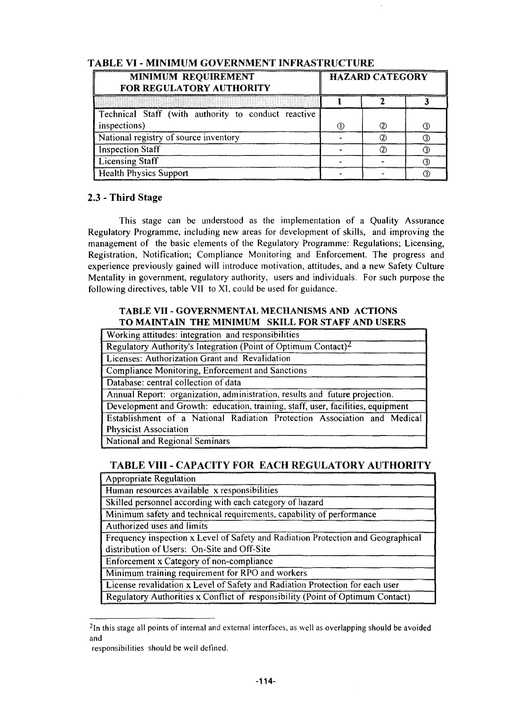| MINIMUM REQUIREMENT<br>FOR REGULATORY AUTHORITY     | <b>HAZARD CATEGORY</b> |  |  |
|-----------------------------------------------------|------------------------|--|--|
|                                                     |                        |  |  |
| Technical Staff (with authority to conduct reactive |                        |  |  |
| inspections)                                        |                        |  |  |
| National registry of source inventory               |                        |  |  |
| <b>Inspection Staff</b>                             |                        |  |  |
| <b>Licensing Staff</b>                              |                        |  |  |
| <b>Health Physics Support</b>                       |                        |  |  |

### TABLE VI - MINIMUM GOVERNMENT INFRASTRUCTURE

#### 2.3 - Third Stage

This stage can be understood as the implementation of a Quality Assurance Regulatory Programme, including new areas for development of skills, and improving the management of the basic elements of the Regulatory Programme: Regulations; Licensing, Registration, Notification; Compliance Monitoring and Enforcement. The progress and experience previously gained will introduce motivation, attitudes, and a new Safety Culture Mentality in government, regulatory authority, users and individuals. For such purpose the following directives, table VII to XI, could be used for guidance.

#### **TABLE VII - GOVERNMENTAL MECHANISMS AND ACTIONS TO MAINTAIN THE MINIMUM SKILL FOR STAFF AND USERS**

| Working attitudes: integration and responsibilities                             |
|---------------------------------------------------------------------------------|
| Regulatory Authority's Integration (Point of Optimum Contact) <sup>2</sup>      |
| Licenses: Authorization Grant and Revalidation                                  |
| Compliance Monitoring, Enforcement and Sanctions                                |
| Database: central collection of data                                            |
| Annual Report: organization, administration, results and future projection.     |
| Development and Growth: education, training, staff, user, facilities, equipment |
| Establishment of a National Radiation Protection Association and Medical        |
| <b>Physicist Association</b>                                                    |
| National and Regional Seminars                                                  |

### TABLE VIII - CAPACITY FOR EACH REGULATORY AUTHORITY

| Appropriate Regulation                                                           |
|----------------------------------------------------------------------------------|
| Human resources available x responsibilities                                     |
| Skilled personnel according with each category of hazard                         |
| Minimum safety and technical requirements, capability of performance             |
| Authorized uses and limits                                                       |
| Frequency inspection x Level of Safety and Radiation Protection and Geographical |
| distribution of Users: On-Site and Off-Site                                      |
| Enforcement x Category of non-compliance                                         |
| Minimum training requirement for RPO and workers                                 |
| License revalidation x Level of Safety and Radiation Protection for each user    |
| Regulatory Authorities x Conflict of responsibility (Point of Optimum Contact)   |
|                                                                                  |

<sup>&</sup>lt;sup>2</sup>In this stage all points of internal and external interfaces, as well as overlapping should be avoided and

responsibilities should be well defined.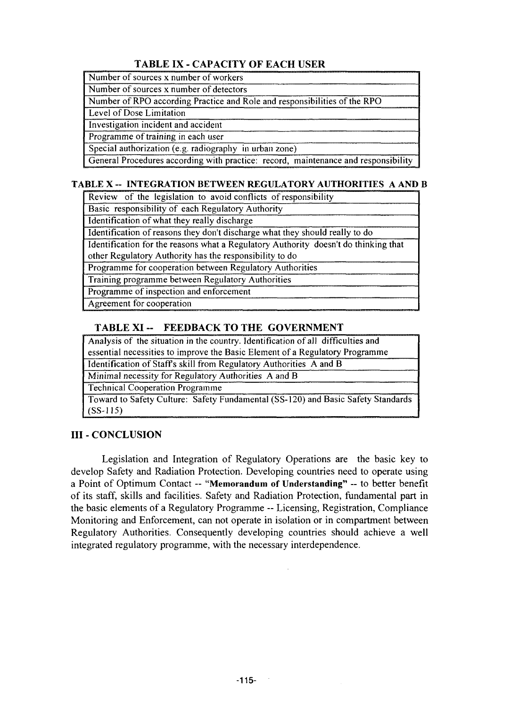### **TABLE IX - CAPACITY OF EACH USER**

Number of sources x number of workers

Number of sources x number of detectors

Number of RPO according Practice and Role and responsibilities of the RPO

Level of Dose Limitation

Investigation incident and accident

Programme of training in each user

Special authorization (e.g. radiography in urban zone)

General Procedures according with practice: record, maintenance and responsibility

### **TABLE X - INTEGRATION BETWEEN REGULATORY AUTHORITIES A AND B**

Review of the legislation to avoid conflicts of responsibility

Basic responsibility of each Regulatory Authority

Identification of what they really discharge

Identification of reasons they don't discharge what they should really to do

Identification for the reasons what a Regulatory Authority doesn't do thinking that other Regulatory Authority has the responsibility to do

Programme for cooperation between Regulatory Authorities

Training programme between Regulatory Authorities

Programme of inspection and enforcement

Agreement for cooperation

### **TABLE XI-- FEEDBACK TO THE GOVERNMENT**

Analysis of the situation in the country. Identification of all difficulties and essential necessities to improve the Basic Element of a Regulatory Programme Identification of Staffs skill from Regulatory Authorities A and B

Minimal necessity for Regulatory Authorities A and B

Technical Cooperation Programme

Toward to Safety Culture: Safety Fundamental (SS-120) and Basic Safety Standards (SS-115)

## **III - CONCLUSION**

Legislation and Integration of Regulatory Operations are the basic key to develop Safety and Radiation Protection. Developing countries need to operate using a Point of Optimum Contact — **"Memorandum of Understanding"** — to better benefit of its staff, skills and facilities. Safety and Radiation Protection, fundamental part in the basic elements of a Regulatory Programme — Licensing, Registration, Compliance Monitoring and Enforcement, can not operate in isolation or in compartment between Regulatory Authorities. Consequently developing countries should achieve a well integrated regulatory programme, with the necessary interdependence.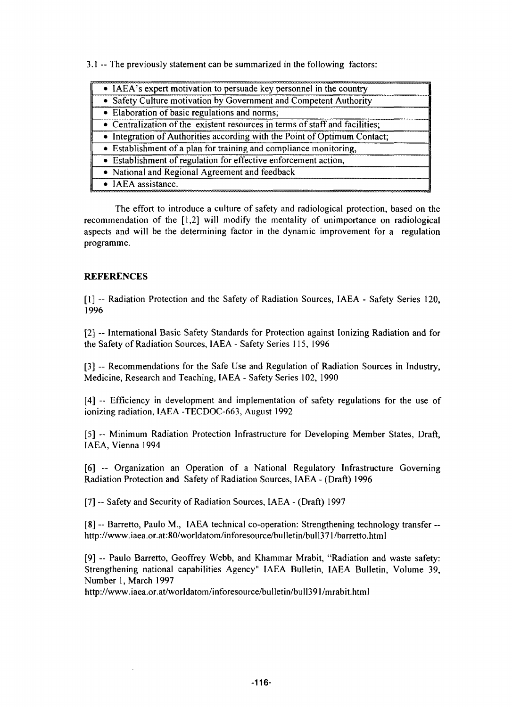3.1 — The previously statement can be summarized in the following factors:

| • IAEA's expert motivation to persuade key personnel in the country          |
|------------------------------------------------------------------------------|
| • Safety Culture motivation by Government and Competent Authority            |
| • Elaboration of basic regulations and norms;                                |
| • Centralization of the existent resources in terms of staff and facilities; |
| • Integration of Authorities according with the Point of Optimum Contact;    |
| • Establishment of a plan for training and compliance monitoring,            |
| • Establishment of regulation for effective enforcement action,              |
| • National and Regional Agreement and feedback                               |
| • IAEA assistance.                                                           |
|                                                                              |

The effort to introduce a culture of safety and radiological protection, based on the recommendation of the [1,2] will modify the mentality of unimportance on radiological aspects and will be the determining factor in the dynamic improvement for a regulation programme.

#### **REFERENCES**

[1] ~ Radiation Protection and the Safety of Radiation Sources, IAEA - Safety Series 120, 1996

[2] ~ International Basic Safety Standards for Protection against Ionizing Radiation and for the Safety of Radiation Sources, IAEA - Safety Series 115, 1996

[3] -- Recommendations for the Safe Use and Regulation of Radiation Sources in Industry, Medicine, Research and Teaching, IAEA - Safety Series 102, 1990

[4] - Efficiency in development and implementation of safety regulations for the use of ionizing radiation, IAEA -TECDOC-663, August 1992

[5] — Minimum Radiation Protection Infrastructure for Developing Member States, Draft, IAEA, Vienna 1994

[6] — Organization an Operation of a National Regulatory Infrastructure Governing Radiation Protection and Safety of Radiation Sources, IAEA - (Draft) 1996

[7] -- Safety and Security of Radiation Sources, IAEA - (Draft) 1997

[8] -- Barretto, Paulo M., IAEA technical co-operation: Strengthening technology transfer -http://www.iaea.or.at:80/worldatom/inforesource/bulletin/bull371/barretto.html

[9] -- Paulo Barretto, Geoffrey Webb, and Khammar Mrabit, "Radiation and waste safety: Strengthening national capabilities Agency" IAEA Bulletin, IAEA Bulletin, Volume 39, Number 1, March 1997

http://www.iaea.or.at/worldatom/inforesource/bulletin/bull391/mrabit.html